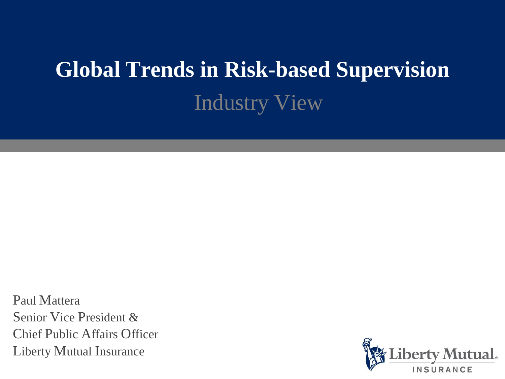# **Global Trends in Risk-based Supervision** Industry View

Paul Mattera Senior Vice President & Chief Public Affairs Officer Liberty Mutual Insurance

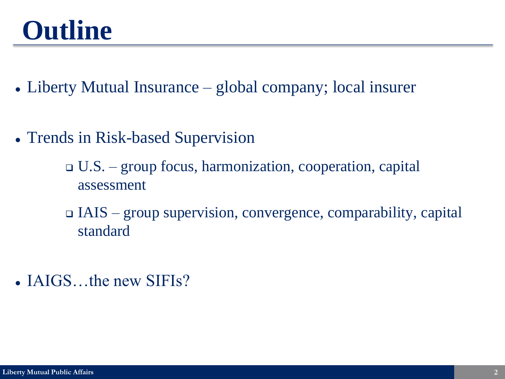# **Outline**

- Liberty Mutual Insurance global company; local insurer
- Trends in Risk-based Supervision
	- U.S. group focus, harmonization, cooperation, capital assessment
	- IAIS group supervision, convergence, comparability, capital standard
- IAIGS...the new SIFIs?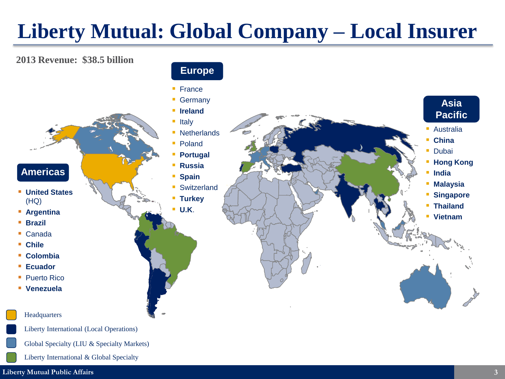## **Liberty Mutual: Global Company – Local Insurer**

#### **2013 Revenue: \$38.5 billion**

### **Americas**

- **United States** (HQ)
- **Argentina**
- **Brazil**
- Canada
- **Chile**
- **Colombia**
- **Ecuador**
- Puerto Rico
- **Venezuela**

#### **Headquarters**

Liberty International (Local Operations)

- Global Specialty (LIU & Specialty Markets)
- Liberty International & Global Specialty



#### **Europe**

- France
- **Germany**
- **I**reland
- Italy
- **Netherlands**
- Poland
- **Portugal**
- **Russia**
- **Spain**
- **Switzerland**
- **Turkey**
- **U.K**.

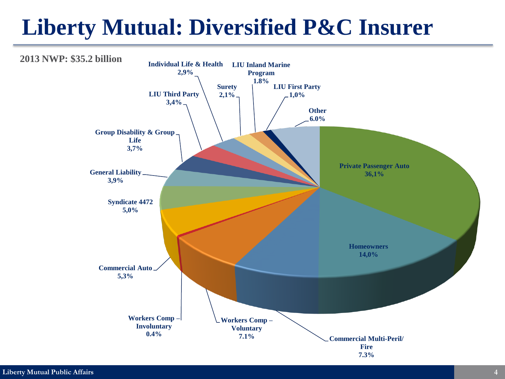## **Liberty Mutual: Diversified P&C Insurer**

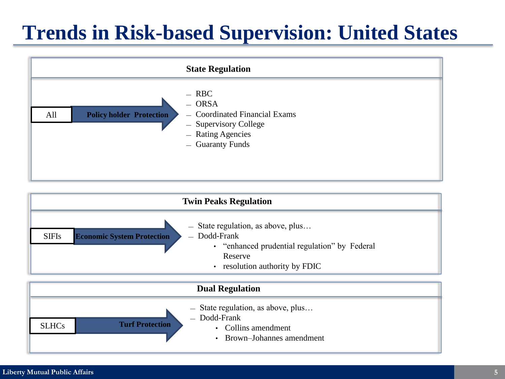## **Trends in Risk-based Supervision: United States**



| <b>Twin Peaks Regulation</b> |                                                                                                                                                                                                                              |
|------------------------------|------------------------------------------------------------------------------------------------------------------------------------------------------------------------------------------------------------------------------|
| <b>SIFIs</b>                 | State regulation, as above, plus<br>$\overline{\phantom{m}}$<br>$-$ Dodd-Frank<br><b>Economic System Protection</b><br>• "enhanced prudential regulation" by Federal<br>Reserve<br>resolution authority by FDIC<br>$\bullet$ |
| <b>Dual Regulation</b>       |                                                                                                                                                                                                                              |
| <b>SLHCs</b>                 | $-$ State regulation, as above, plus<br>$-$ Dodd-Frank<br><b>Turf Protection</b><br>• Collins amendment<br>Brown-Johannes amendment                                                                                          |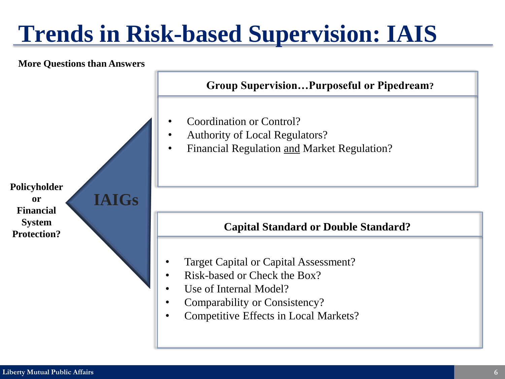# **Trends in Risk-based Supervision: IAIS**

#### **More Questions than Answers**

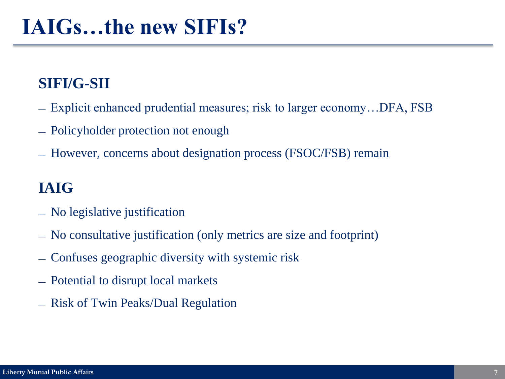## **IAIGs…the new SIFIs?**

### **SIFI/G-SII**

- ― Explicit enhanced prudential measures; risk to larger economy…DFA, FSB
- ― Policyholder protection not enough
- ― However, concerns about designation process (FSOC/FSB) remain

### **IAIG**

- ― No legislative justification
- ― No consultative justification (only metrics are size and footprint)
- ― Confuses geographic diversity with systemic risk
- ― Potential to disrupt local markets
- ― Risk of Twin Peaks/Dual Regulation